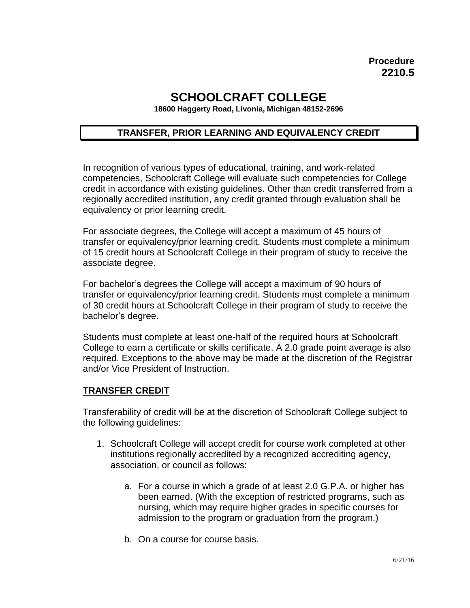# **SCHOOLCRAFT COLLEGE**

**18600 Haggerty Road, Livonia, Michigan 48152-2696**

## **TRANSFER, PRIOR LEARNING AND EQUIVALENCY CREDIT**

In recognition of various types of educational, training, and work-related competencies, Schoolcraft College will evaluate such competencies for College credit in accordance with existing guidelines. Other than credit transferred from a regionally accredited institution, any credit granted through evaluation shall be equivalency or prior learning credit.

For associate degrees, the College will accept a maximum of 45 hours of transfer or equivalency/prior learning credit. Students must complete a minimum of 15 credit hours at Schoolcraft College in their program of study to receive the associate degree.

For bachelor's degrees the College will accept a maximum of 90 hours of transfer or equivalency/prior learning credit. Students must complete a minimum of 30 credit hours at Schoolcraft College in their program of study to receive the bachelor's degree.

Students must complete at least one-half of the required hours at Schoolcraft College to earn a certificate or skills certificate. A 2.0 grade point average is also required. Exceptions to the above may be made at the discretion of the Registrar and/or Vice President of Instruction.

#### **TRANSFER CREDIT**

Transferability of credit will be at the discretion of Schoolcraft College subject to the following guidelines:

- 1. Schoolcraft College will accept credit for course work completed at other institutions regionally accredited by a recognized accrediting agency, association, or council as follows:
	- a. For a course in which a grade of at least 2.0 G.P.A. or higher has been earned. (With the exception of restricted programs, such as nursing, which may require higher grades in specific courses for admission to the program or graduation from the program.)
	- b. On a course for course basis.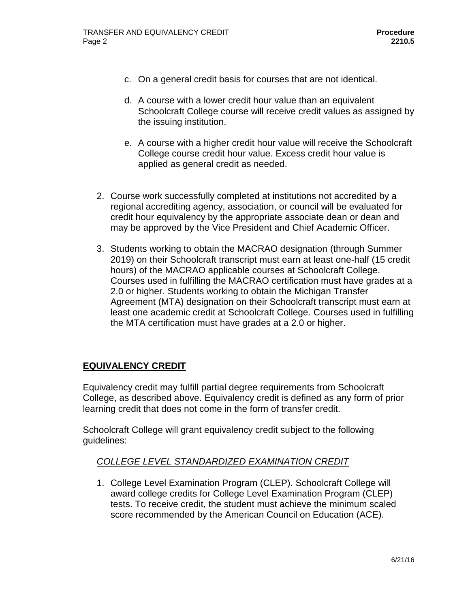- c. On a general credit basis for courses that are not identical.
- d. A course with a lower credit hour value than an equivalent Schoolcraft College course will receive credit values as assigned by the issuing institution.
- e. A course with a higher credit hour value will receive the Schoolcraft College course credit hour value. Excess credit hour value is applied as general credit as needed.
- 2. Course work successfully completed at institutions not accredited by a regional accrediting agency, association, or council will be evaluated for credit hour equivalency by the appropriate associate dean or dean and may be approved by the Vice President and Chief Academic Officer.
- 3. Students working to obtain the MACRAO designation (through Summer 2019) on their Schoolcraft transcript must earn at least one-half (15 credit hours) of the MACRAO applicable courses at Schoolcraft College. Courses used in fulfilling the MACRAO certification must have grades at a 2.0 or higher. Students working to obtain the Michigan Transfer Agreement (MTA) designation on their Schoolcraft transcript must earn at least one academic credit at Schoolcraft College. Courses used in fulfilling the MTA certification must have grades at a 2.0 or higher.

# **EQUIVALENCY CREDIT**

Equivalency credit may fulfill partial degree requirements from Schoolcraft College, as described above. Equivalency credit is defined as any form of prior learning credit that does not come in the form of transfer credit.

Schoolcraft College will grant equivalency credit subject to the following guidelines:

# *COLLEGE LEVEL STANDARDIZED EXAMINATION CREDIT*

1. College Level Examination Program (CLEP). Schoolcraft College will award college credits for College Level Examination Program (CLEP) tests. To receive credit, the student must achieve the minimum scaled score recommended by the American Council on Education (ACE).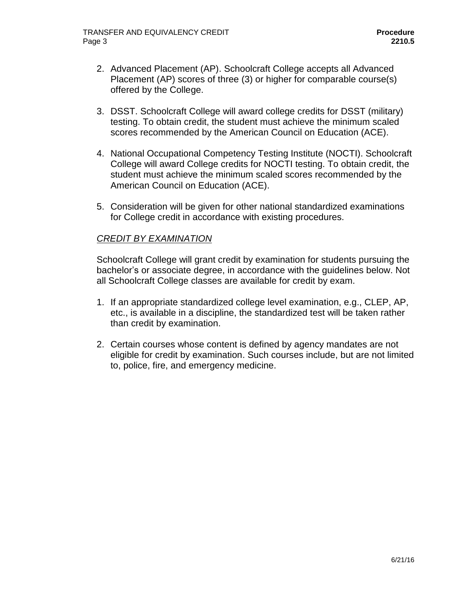- 2. Advanced Placement (AP). Schoolcraft College accepts all Advanced Placement (AP) scores of three (3) or higher for comparable course(s) offered by the College.
- 3. DSST. Schoolcraft College will award college credits for DSST (military) testing. To obtain credit, the student must achieve the minimum scaled scores recommended by the American Council on Education (ACE).
- 4. National Occupational Competency Testing Institute (NOCTI). Schoolcraft College will award College credits for NOCTI testing. To obtain credit, the student must achieve the minimum scaled scores recommended by the American Council on Education (ACE).
- 5. Consideration will be given for other national standardized examinations for College credit in accordance with existing procedures.

# *CREDIT BY EXAMINATION*

Schoolcraft College will grant credit by examination for students pursuing the bachelor's or associate degree, in accordance with the guidelines below. Not all Schoolcraft College classes are available for credit by exam.

- 1. If an appropriate standardized college level examination, e.g., CLEP, AP, etc., is available in a discipline, the standardized test will be taken rather than credit by examination.
- 2. Certain courses whose content is defined by agency mandates are not eligible for credit by examination. Such courses include, but are not limited to, police, fire, and emergency medicine.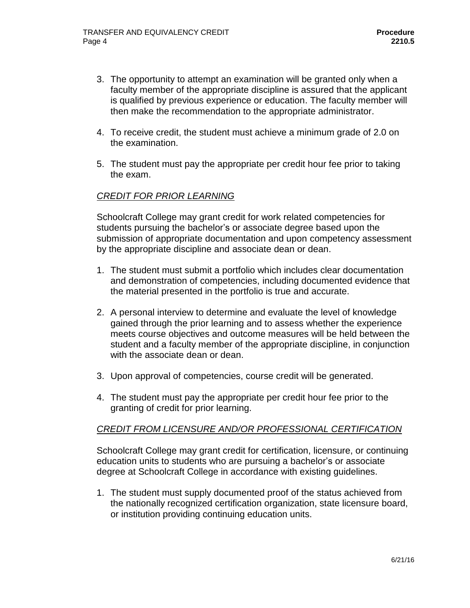- 3. The opportunity to attempt an examination will be granted only when a faculty member of the appropriate discipline is assured that the applicant is qualified by previous experience or education. The faculty member will then make the recommendation to the appropriate administrator.
- 4. To receive credit, the student must achieve a minimum grade of 2.0 on the examination.
- 5. The student must pay the appropriate per credit hour fee prior to taking the exam.

## *CREDIT FOR PRIOR LEARNING*

Schoolcraft College may grant credit for work related competencies for students pursuing the bachelor's or associate degree based upon the submission of appropriate documentation and upon competency assessment by the appropriate discipline and associate dean or dean.

- 1. The student must submit a portfolio which includes clear documentation and demonstration of competencies, including documented evidence that the material presented in the portfolio is true and accurate.
- 2. A personal interview to determine and evaluate the level of knowledge gained through the prior learning and to assess whether the experience meets course objectives and outcome measures will be held between the student and a faculty member of the appropriate discipline, in conjunction with the associate dean or dean.
- 3. Upon approval of competencies, course credit will be generated.
- 4. The student must pay the appropriate per credit hour fee prior to the granting of credit for prior learning.

### *CREDIT FROM LICENSURE AND/OR PROFESSIONAL CERTIFICATION*

Schoolcraft College may grant credit for certification, licensure, or continuing education units to students who are pursuing a bachelor's or associate degree at Schoolcraft College in accordance with existing guidelines.

1. The student must supply documented proof of the status achieved from the nationally recognized certification organization, state licensure board, or institution providing continuing education units.